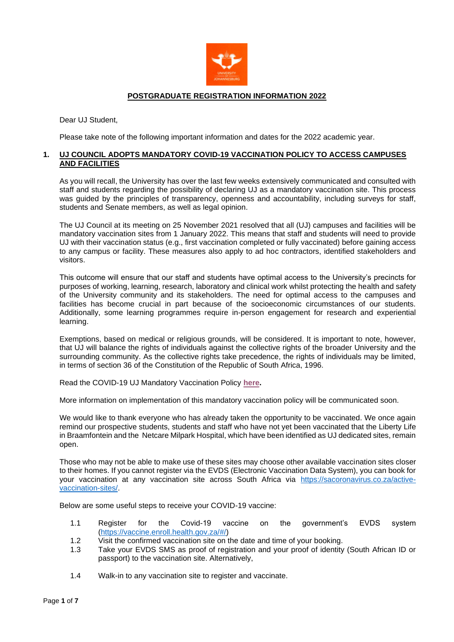

#### **POSTGRADUATE REGISTRATION INFORMATION 2022**

Dear UJ Student,

Please take note of the following important information and dates for the 2022 academic year.

# **1. UJ COUNCIL ADOPTS MANDATORY COVID-19 VACCINATION POLICY TO ACCESS CAMPUSES AND FACILITIES**

As you will recall, the University has over the last few weeks extensively communicated and consulted with staff and students regarding the possibility of declaring UJ as a mandatory vaccination site. This process was guided by the principles of transparency, openness and accountability, including surveys for staff, students and Senate members, as well as legal opinion.

The UJ Council at its meeting on 25 November 2021 resolved that all (UJ) campuses and facilities will be mandatory vaccination sites from 1 January 2022. This means that staff and students will need to provide UJ with their vaccination status (e.g., first vaccination completed or fully vaccinated) before gaining access to any campus or facility. These measures also apply to ad hoc contractors, identified stakeholders and visitors.

This outcome will ensure that our staff and students have optimal access to the University's precincts for purposes of working, learning, research, laboratory and clinical work whilst protecting the health and safety of the University community and its stakeholders. The need for optimal access to the campuses and facilities has become crucial in part because of the socioeconomic circumstances of our students. Additionally, some learning programmes require in-person engagement for research and experiential learning.

Exemptions, based on medical or religious grounds, will be considered. It is important to note, however, that UJ will balance the rights of individuals against the collective rights of the broader University and the surrounding community. As the collective rights take precedence, the rights of individuals may be limited, in terms of section 36 of the Constitution of the Republic of South Africa, 1996.

Read the COVID-19 UJ Mandatory Vaccination Policy **[here.](https://www.uj.ac.za/wp-content/uploads/2021/12/covid-19-mandatory-vaccination-policy-19-nov2021.pdf)**

More information on implementation of this mandatory vaccination policy will be communicated soon.

We would like to thank everyone who has already taken the opportunity to be vaccinated. We once again remind our prospective students, students and staff who have not yet been vaccinated that the Liberty Life in Braamfontein and the Netcare Milpark Hospital, which have been identified as UJ dedicated sites, remain open.

Those who may not be able to make use of these sites may choose other available vaccination sites closer to their homes. If you cannot register via the EVDS (Electronic Vaccination Data System), you can book for your vaccination at any vaccination site across South Africa via [https://sacoronavirus.co.za/active](https://sacoronavirus.co.za/active-vaccination-sites/)[vaccination-sites/.](https://sacoronavirus.co.za/active-vaccination-sites/)

Below are some useful steps to receive your COVID-19 vaccine:

- 1.1 Register for the Covid-19 vaccine on the government's EVDS system [\(https://vaccine.enroll.health.gov.za/#/\)](https://vaccine.enroll.health.gov.za/#/)
- 1.2 Visit the confirmed vaccination site on the date and time of your booking.
- 1.3 Take your EVDS SMS as proof of registration and your proof of identity (South African ID or passport) to the vaccination site. Alternatively,
- 1.4 Walk-in to any vaccination site to register and vaccinate.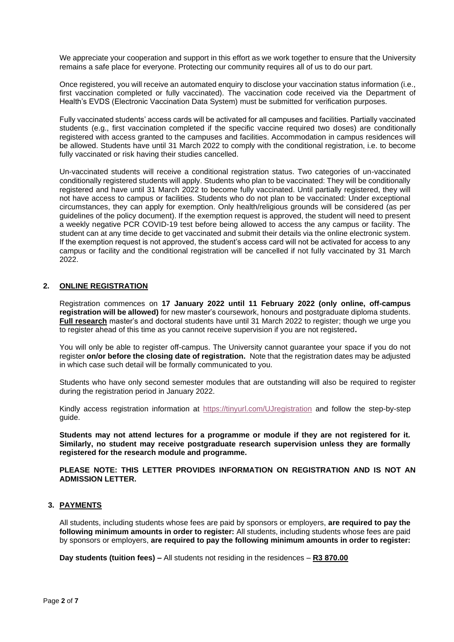We appreciate your cooperation and support in this effort as we work together to ensure that the University remains a safe place for everyone. Protecting our community requires all of us to do our part.

Once registered, you will receive an automated enquiry to disclose your vaccination status information (i.e., first vaccination completed or fully vaccinated). The vaccination code received via the Department of Health's EVDS (Electronic Vaccination Data System) must be submitted for verification purposes.

Fully vaccinated students' access cards will be activated for all campuses and facilities. Partially vaccinated students (e.g., first vaccination completed if the specific vaccine required two doses) are conditionally registered with access granted to the campuses and facilities. Accommodation in campus residences will be allowed. Students have until 31 March 2022 to comply with the conditional registration, i.e. to become fully vaccinated or risk having their studies cancelled.

Un-vaccinated students will receive a conditional registration status. Two categories of un-vaccinated conditionally registered students will apply. Students who plan to be vaccinated: They will be conditionally registered and have until 31 March 2022 to become fully vaccinated. Until partially registered, they will not have access to campus or facilities. Students who do not plan to be vaccinated: Under exceptional circumstances, they can apply for exemption. Only health/religious grounds will be considered (as per guidelines of the policy document). If the exemption request is approved, the student will need to present a weekly negative PCR COVID-19 test before being allowed to access the any campus or facility. The student can at any time decide to get vaccinated and submit their details via the online electronic system. If the exemption request is not approved, the student's access card will not be activated for access to any campus or facility and the conditional registration will be cancelled if not fully vaccinated by 31 March 2022.

#### **2. ONLINE REGISTRATION**

Registration commences on **17 January 2022 until 11 February 2022 (only online, off-campus registration will be allowed)** for new master's coursework, honours and postgraduate diploma students. **Full research** master's and doctoral students have until 31 March 2022 to register; though we urge you to register ahead of this time as you cannot receive supervision if you are not registered**.** 

You will only be able to register off-campus. The University cannot guarantee your space if you do not register **on/or before the closing date of registration.** Note that the registration dates may be adjusted in which case such detail will be formally communicated to you.

Students who have only second semester modules that are outstanding will also be required to register during the registration period in January 2022.

Kindly access registration information at<https://tinyurl.com/UJregistration> and follow the step-by-step guide.

**Students may not attend lectures for a programme or module if they are not registered for it. Similarly, no student may receive postgraduate research supervision unless they are formally registered for the research module and programme.** 

**PLEASE NOTE: THIS LETTER PROVIDES INFORMATION ON REGISTRATION AND IS NOT AN ADMISSION LETTER.**

#### **3. PAYMENTS**

All students, including students whose fees are paid by sponsors or employers, **are required to pay the following minimum amounts in order to register:** All students, including students whose fees are paid by sponsors or employers, **are required to pay the following minimum amounts in order to register:**

**Day students (tuition fees) –** All students not residing in the residences – **R3 870.00**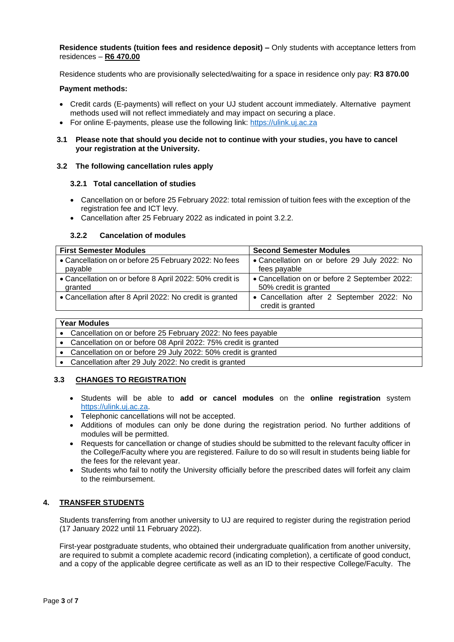**Residence students (tuition fees and residence deposit) –** Only students with acceptance letters from residences – **R6 470.00**

Residence students who are provisionally selected/waiting for a space in residence only pay: **R3 870.00**

#### **Payment methods:**

- Credit cards (E-payments) will reflect on your UJ student account immediately. Alternative payment methods used will not reflect immediately and may impact on securing a place.
- For online E-payments, please use the following link: [https://ulink.uj.ac.za](https://ulink.uj.ac.za/)
- **3.1 Please note that should you decide not to continue with your studies, you have to cancel your registration at the University.**

#### **3.2 The following cancellation rules apply**

#### **3.2.1 Total cancellation of studies**

- Cancellation on or before 25 February 2022: total remission of tuition fees with the exception of the registration fee and ICT levy.
- Cancellation after 25 February 2022 as indicated in point 3.2.2.

#### **3.2.2 Cancelation of modules**

| <b>First Semester Modules</b>                           | <b>Second Semester Modules</b>                                 |
|---------------------------------------------------------|----------------------------------------------------------------|
| • Cancellation on or before 25 February 2022: No fees   | • Cancellation on or before 29 July 2022: No                   |
| payable                                                 | fees payable                                                   |
| • Cancellation on or before 8 April 2022: 50% credit is | • Cancellation on or before 2 September 2022:                  |
| granted                                                 | 50% credit is granted                                          |
| • Cancellation after 8 April 2022: No credit is granted | • Cancellation after 2 September 2022: No<br>credit is granted |

# **Year Modules**

| rear modules |                                                                  |  |
|--------------|------------------------------------------------------------------|--|
|              | • Cancellation on or before 25 February 2022: No fees payable    |  |
|              | • Cancellation on or before 08 April 2022: 75% credit is granted |  |
|              | • Cancellation on or before 29 July 2022: 50% credit is granted  |  |
|              | • Cancellation after 29 July 2022: No credit is granted          |  |
|              |                                                                  |  |

# **3.3 CHANGES TO REGISTRATION**

- Students will be able to **add or cancel modules** on the **online registration** system [https://ulink.uj.ac.za.](https://ulink.uj.ac.za/)
- Telephonic cancellations will not be accepted.
- Additions of modules can only be done during the registration period. No further additions of modules will be permitted.
- Requests for cancellation or change of studies should be submitted to the relevant faculty officer in the College/Faculty where you are registered. Failure to do so will result in students being liable for the fees for the relevant year.
- Students who fail to notify the University officially before the prescribed dates will forfeit any claim to the reimbursement.

# **4. TRANSFER STUDENTS**

Students transferring from another university to UJ are required to register during the registration period (17 January 2022 until 11 February 2022).

First-year postgraduate students, who obtained their undergraduate qualification from another university, are required to submit a complete academic record (indicating completion), a certificate of good conduct, and a copy of the applicable degree certificate as well as an ID to their respective College/Faculty. The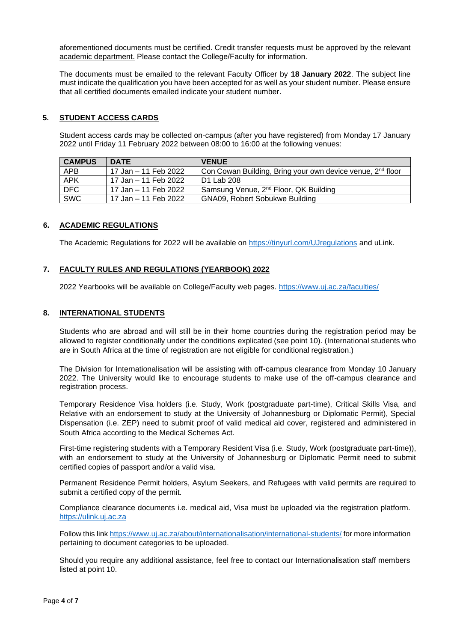aforementioned documents must be certified. Credit transfer requests must be approved by the relevant academic department. Please contact the College/Faculty for information.

The documents must be emailed to the relevant Faculty Officer by **18 January 2022**. The subject line must indicate the qualification you have been accepted for as well as your student number. Please ensure that all certified documents emailed indicate your student number.

# **5. STUDENT ACCESS CARDS**

Student access cards may be collected on-campus (after you have registered) from Monday 17 January 2022 until Friday 11 February 2022 between 08:00 to 16:00 at the following venues:

| <b>CAMPUS</b> | <b>DATE</b>          | <b>VENUE</b>                                                           |
|---------------|----------------------|------------------------------------------------------------------------|
| <b>APB</b>    | 17 Jan – 11 Feb 2022 | Con Cowan Building, Bring your own device venue, 2 <sup>nd</sup> floor |
| <b>APK</b>    | 17 Jan – 11 Feb 2022 | D1 Lab 208                                                             |
| DFC           | 17 Jan – 11 Feb 2022 | Samsung Venue, 2 <sup>nd</sup> Floor, QK Building                      |
| SWC           | 17 Jan – 11 Feb 2022 | GNA09, Robert Sobukwe Building                                         |

# **6. ACADEMIC REGULATIONS**

The Academic Regulations for 2022 will be available on<https://tinyurl.com/UJregulations> and uLink.

# **7. FACULTY RULES AND REGULATIONS (YEARBOOK) 2022**

2022 Yearbooks will be available on College/Faculty web pages.<https://www.uj.ac.za/faculties/>

# **8. INTERNATIONAL STUDENTS**

Students who are abroad and will still be in their home countries during the registration period may be allowed to register conditionally under the conditions explicated (see point 10). (International students who are in South Africa at the time of registration are not eligible for conditional registration.)

The Division for Internationalisation will be assisting with off-campus clearance from Monday 10 January 2022. The University would like to encourage students to make use of the off-campus clearance and registration process.

Temporary Residence Visa holders (i.e. Study, Work (postgraduate part-time), Critical Skills Visa, and Relative with an endorsement to study at the University of Johannesburg or Diplomatic Permit), Special Dispensation (i.e. ZEP) need to submit proof of valid medical aid cover, registered and administered in South Africa according to the Medical Schemes Act.

First-time registering students with a Temporary Resident Visa (i.e. Study, Work (postgraduate part-time)), with an endorsement to study at the University of Johannesburg or Diplomatic Permit need to submit certified copies of passport and/or a valid visa.

Permanent Residence Permit holders, Asylum Seekers, and Refugees with valid permits are required to submit a certified copy of the permit.

Compliance clearance documents i.e. medical aid, Visa must be uploaded via the registration platform. https://ulink.uj.ac.za

Follow this link<https://www.uj.ac.za/about/internationalisation/international-students/> for more information pertaining to document categories to be uploaded.

Should you require any additional assistance, feel free to contact our Internationalisation staff members listed at point 10.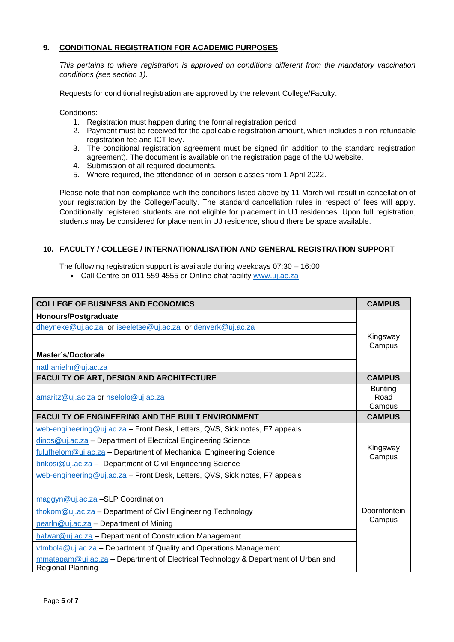# **9. CONDITIONAL REGISTRATION FOR ACADEMIC PURPOSES**

*This pertains to where registration is approved on conditions different from the mandatory vaccination conditions (see section 1).*

Requests for conditional registration are approved by the relevant College/Faculty.

Conditions:

- 1. Registration must happen during the formal registration period.
- 2. Payment must be received for the applicable registration amount, which includes a non-refundable registration fee and ICT levy.
- 3. The conditional registration agreement must be signed (in addition to the standard registration agreement). The document is available on the registration page of the UJ website.
- 4. Submission of all required documents.
- 5. Where required, the attendance of in-person classes from 1 April 2022.

Please note that non-compliance with the conditions listed above by 11 March will result in cancellation of your registration by the College/Faculty. The standard cancellation rules in respect of fees will apply. Conditionally registered students are not eligible for placement in UJ residences. Upon full registration, students may be considered for placement in UJ residence, should there be space available.

# **10. FACULTY / COLLEGE / INTERNATIONALISATION AND GENERAL REGISTRATION SUPPORT**

The following registration support is available during weekdays 07:30 – 16:00

• Call Centre on 011 559 4555 or Online chat facility [www.uj.ac.za](http://www.uj.ac.za/)

| <b>COLLEGE OF BUSINESS AND ECONOMICS</b>                                                               |                                  |  |
|--------------------------------------------------------------------------------------------------------|----------------------------------|--|
| Honours/Postgraduate                                                                                   |                                  |  |
| dheyneke@uj.ac.za or iseeletse@uj.ac.za or denverk@uj.ac.za                                            |                                  |  |
|                                                                                                        | Kingsway                         |  |
| <b>Master's/Doctorate</b>                                                                              | Campus                           |  |
| nathanielm@uj.ac.za                                                                                    |                                  |  |
| FACULTY OF ART, DESIGN AND ARCHITECTURE                                                                | <b>CAMPUS</b>                    |  |
| amaritz@uj.ac.za or hselolo@uj.ac.za                                                                   | <b>Bunting</b><br>Road<br>Campus |  |
| <b>FACULTY OF ENGINEERING AND THE BUILT ENVIRONMENT</b>                                                |                                  |  |
| web-engineering@uj.ac.za - Front Desk, Letters, QVS, Sick notes, F7 appeals                            |                                  |  |
| dinos@uj.ac.za - Department of Electrical Engineering Science                                          |                                  |  |
| fulufhelom@uj.ac.za - Department of Mechanical Engineering Science                                     | Kingsway<br>Campus               |  |
| bnkosi@uj.ac.za -- Department of Civil Engineering Science                                             |                                  |  |
| web-engineering@uj.ac.za - Front Desk, Letters, QVS, Sick notes, F7 appeals                            |                                  |  |
| maggyn@uj.ac.za -SLP Coordination                                                                      |                                  |  |
| thokom@uj.ac.za - Department of Civil Engineering Technology                                           |                                  |  |
| pearln@uj.ac.za - Department of Mining                                                                 |                                  |  |
| halwar@uj.ac.za - Department of Construction Management                                                |                                  |  |
| vtmbola@uj.ac.za - Department of Quality and Operations Management                                     |                                  |  |
| mmatapam@uj.ac.za - Department of Electrical Technology & Department of Urban and<br>Regional Planning |                                  |  |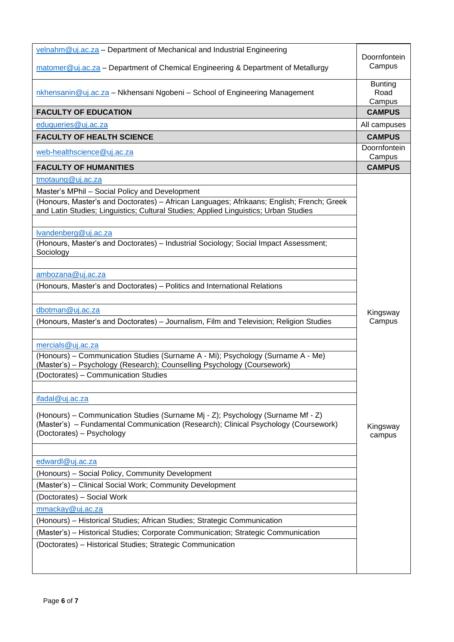| velnahm@uj.ac.za - Department of Mechanical and Industrial Engineering<br>matomer@uj.ac.za - Department of Chemical Engineering & Department of Metallurgy                                                                                                                                                                                                                                                                                        | Doornfontein<br>Campus           |
|---------------------------------------------------------------------------------------------------------------------------------------------------------------------------------------------------------------------------------------------------------------------------------------------------------------------------------------------------------------------------------------------------------------------------------------------------|----------------------------------|
| nkhensanin@uj.ac.za - Nkhensani Ngobeni - School of Engineering Management                                                                                                                                                                                                                                                                                                                                                                        | <b>Bunting</b><br>Road<br>Campus |
| <b>FACULTY OF EDUCATION</b>                                                                                                                                                                                                                                                                                                                                                                                                                       | <b>CAMPUS</b>                    |
| eduqueries@uj.ac.za                                                                                                                                                                                                                                                                                                                                                                                                                               | All campuses                     |
| <b>FACULTY OF HEALTH SCIENCE</b>                                                                                                                                                                                                                                                                                                                                                                                                                  | <b>CAMPUS</b>                    |
| web-healthscience@uj.ac.za                                                                                                                                                                                                                                                                                                                                                                                                                        | Doornfontein<br>Campus           |
| <b>FACULTY OF HUMANITIES</b>                                                                                                                                                                                                                                                                                                                                                                                                                      | <b>CAMPUS</b>                    |
| tmotaung@uj.ac.za<br>Master's MPhil - Social Policy and Development<br>(Honours, Master's and Doctorates) - African Languages; Afrikaans; English; French; Greek<br>and Latin Studies; Linguistics; Cultural Studies; Applied Linguistics; Urban Studies<br>lvandenberg@uj.ac.za<br>(Honours, Master's and Doctorates) - Industrial Sociology; Social Impact Assessment;                                                                          |                                  |
| Sociology<br>ambozana@uj.ac.za<br>(Honours, Master's and Doctorates) - Politics and International Relations<br>dbotman@uj.ac.za<br>(Honours, Master's and Doctorates) - Journalism, Film and Television; Religion Studies                                                                                                                                                                                                                         | Kingsway<br>Campus               |
| mercials@uj.ac.za<br>(Honours) – Communication Studies (Surname A - Mi); Psychology (Surname A - Me)<br>(Master's) - Psychology (Research); Counselling Psychology (Coursework)<br>(Doctorates) - Communication Studies<br>ifadal@uj.ac.za<br>(Honours) – Communication Studies (Surname Mj - Z); Psychology (Surname Mf - Z)<br>(Master's) - Fundamental Communication (Research); Clinical Psychology (Coursework)<br>(Doctorates) - Psychology | Kingsway<br>campus               |
| edwardl@uj.ac.za<br>(Honours) – Social Policy, Community Development<br>(Master's) - Clinical Social Work; Community Development<br>(Doctorates) - Social Work<br>mmackay@uj.ac.za<br>(Honours) - Historical Studies; African Studies; Strategic Communication<br>(Master's) - Historical Studies; Corporate Communication; Strategic Communication<br>(Doctorates) - Historical Studies; Strategic Communication                                 |                                  |